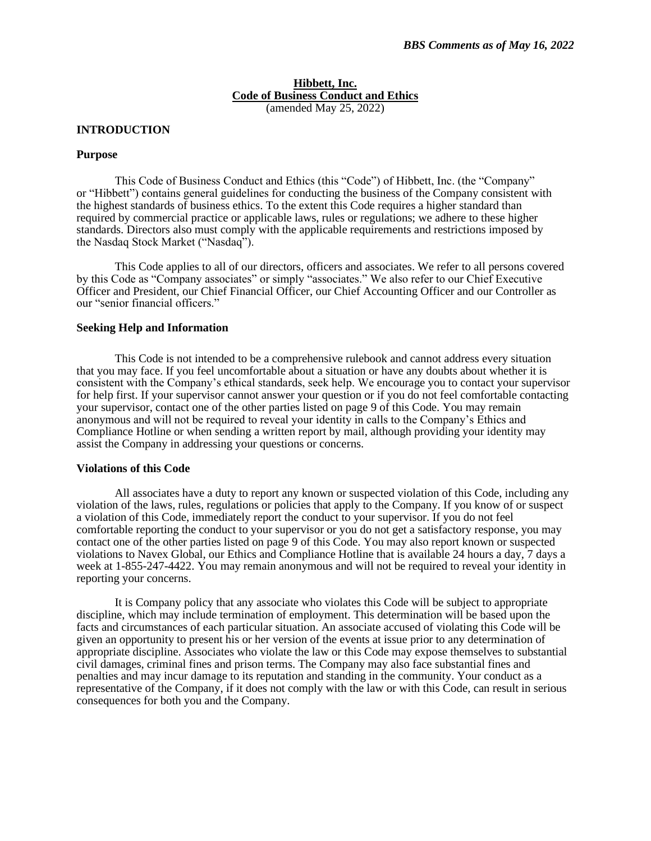### **Hibbett, Inc. Code of Business Conduct and Ethics** (amended May 25, 2022)

# **INTRODUCTION**

### **Purpose**

This Code of Business Conduct and Ethics (this "Code") of Hibbett, Inc. (the "Company" or "Hibbett") contains general guidelines for conducting the business of the Company consistent with the highest standards of business ethics. To the extent this Code requires a higher standard than required by commercial practice or applicable laws, rules or regulations; we adhere to these higher standards. Directors also must comply with the applicable requirements and restrictions imposed by the Nasdaq Stock Market ("Nasdaq").

This Code applies to all of our directors, officers and associates. We refer to all persons covered by this Code as "Company associates" or simply "associates." We also refer to our Chief Executive Officer and President, our Chief Financial Officer, our Chief Accounting Officer and our Controller as our "senior financial officers."

### **Seeking Help and Information**

This Code is not intended to be a comprehensive rulebook and cannot address every situation that you may face. If you feel uncomfortable about a situation or have any doubts about whether it is consistent with the Company's ethical standards, seek help. We encourage you to contact your supervisor for help first. If your supervisor cannot answer your question or if you do not feel comfortable contacting your supervisor, contact one of the other parties listed on page 9 of this Code. You may remain anonymous and will not be required to reveal your identity in calls to the Company's Ethics and Compliance Hotline or when sending a written report by mail, although providing your identity may assist the Company in addressing your questions or concerns.

#### **Violations of this Code**

All associates have a duty to report any known or suspected violation of this Code, including any violation of the laws, rules, regulations or policies that apply to the Company. If you know of or suspect a violation of this Code, immediately report the conduct to your supervisor. If you do not feel comfortable reporting the conduct to your supervisor or you do not get a satisfactory response, you may contact one of the other parties listed on page 9 of this Code. You may also report known or suspected violations to Navex Global, our Ethics and Compliance Hotline that is available 24 hours a day, 7 days a week at 1-855-247-4422. You may remain anonymous and will not be required to reveal your identity in reporting your concerns.

It is Company policy that any associate who violates this Code will be subject to appropriate discipline, which may include termination of employment. This determination will be based upon the facts and circumstances of each particular situation. An associate accused of violating this Code will be given an opportunity to present his or her version of the events at issue prior to any determination of appropriate discipline. Associates who violate the law or this Code may expose themselves to substantial civil damages, criminal fines and prison terms. The Company may also face substantial fines and penalties and may incur damage to its reputation and standing in the community. Your conduct as a representative of the Company, if it does not comply with the law or with this Code, can result in serious consequences for both you and the Company.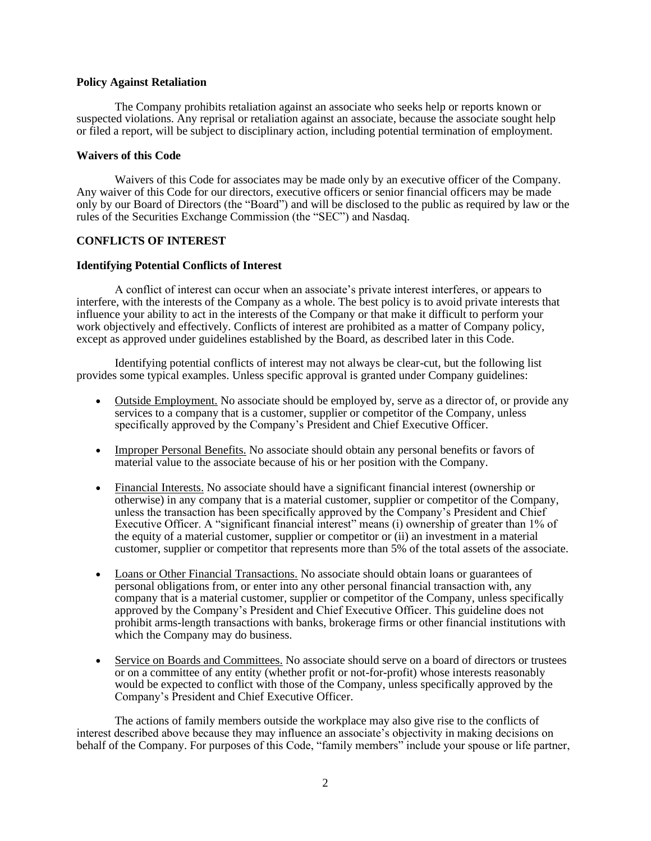### **Policy Against Retaliation**

The Company prohibits retaliation against an associate who seeks help or reports known or suspected violations. Any reprisal or retaliation against an associate, because the associate sought help or filed a report, will be subject to disciplinary action, including potential termination of employment.

### **Waivers of this Code**

Waivers of this Code for associates may be made only by an executive officer of the Company. Any waiver of this Code for our directors, executive officers or senior financial officers may be made only by our Board of Directors (the "Board") and will be disclosed to the public as required by law or the rules of the Securities Exchange Commission (the "SEC") and Nasdaq.

## **CONFLICTS OF INTEREST**

### **Identifying Potential Conflicts of Interest**

A conflict of interest can occur when an associate's private interest interferes, or appears to interfere, with the interests of the Company as a whole. The best policy is to avoid private interests that influence your ability to act in the interests of the Company or that make it difficult to perform your work objectively and effectively. Conflicts of interest are prohibited as a matter of Company policy, except as approved under guidelines established by the Board, as described later in this Code.

Identifying potential conflicts of interest may not always be clear-cut, but the following list provides some typical examples. Unless specific approval is granted under Company guidelines:

- Outside Employment. No associate should be employed by, serve as a director of, or provide any services to a company that is a customer, supplier or competitor of the Company, unless specifically approved by the Company's President and Chief Executive Officer.
- Improper Personal Benefits. No associate should obtain any personal benefits or favors of material value to the associate because of his or her position with the Company.
- Financial Interests. No associate should have a significant financial interest (ownership or otherwise) in any company that is a material customer, supplier or competitor of the Company, unless the transaction has been specifically approved by the Company's President and Chief Executive Officer. A "significant financial interest" means (i) ownership of greater than 1% of the equity of a material customer, supplier or competitor or (ii) an investment in a material customer, supplier or competitor that represents more than 5% of the total assets of the associate.
- Loans or Other Financial Transactions. No associate should obtain loans or guarantees of personal obligations from, or enter into any other personal financial transaction with, any company that is a material customer, supplier or competitor of the Company, unless specifically approved by the Company's President and Chief Executive Officer. This guideline does not prohibit arms-length transactions with banks, brokerage firms or other financial institutions with which the Company may do business.
- Service on Boards and Committees. No associate should serve on a board of directors or trustees or on a committee of any entity (whether profit or not-for-profit) whose interests reasonably would be expected to conflict with those of the Company, unless specifically approved by the Company's President and Chief Executive Officer.

The actions of family members outside the workplace may also give rise to the conflicts of interest described above because they may influence an associate's objectivity in making decisions on behalf of the Company. For purposes of this Code, "family members" include your spouse or life partner,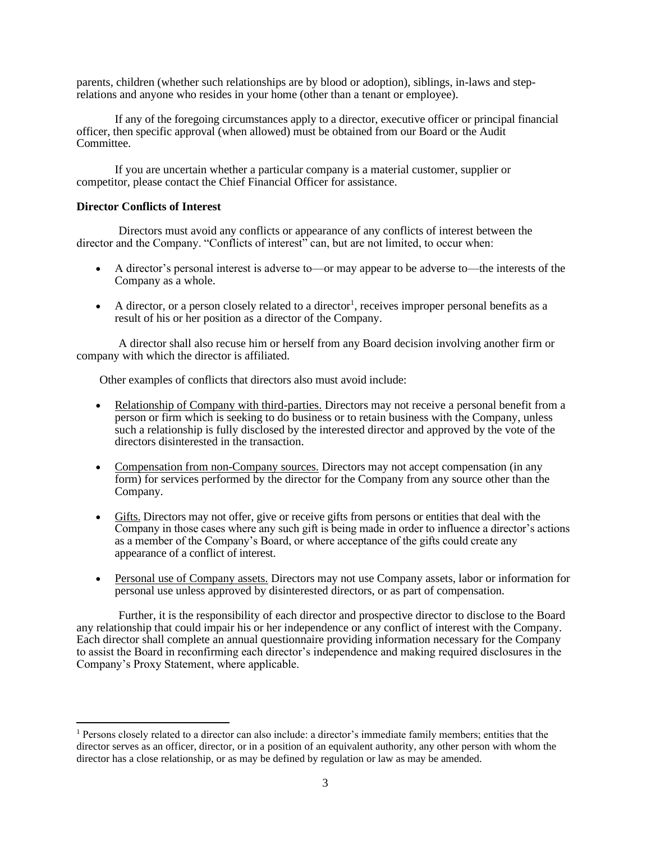parents, children (whether such relationships are by blood or adoption), siblings, in-laws and steprelations and anyone who resides in your home (other than a tenant or employee).

If any of the foregoing circumstances apply to a director, executive officer or principal financial officer, then specific approval (when allowed) must be obtained from our Board or the Audit Committee.

If you are uncertain whether a particular company is a material customer, supplier or competitor, please contact the Chief Financial Officer for assistance.

# **Director Conflicts of Interest**

Directors must avoid any conflicts or appearance of any conflicts of interest between the director and the Company. "Conflicts of interest" can, but are not limited, to occur when:

- A director's personal interest is adverse to—or may appear to be adverse to—the interests of the Company as a whole.
- A director, or a person closely related to a director<sup>1</sup>, receives improper personal benefits as a result of his or her position as a director of the Company.

A director shall also recuse him or herself from any Board decision involving another firm or company with which the director is affiliated.

Other examples of conflicts that directors also must avoid include:

- Relationship of Company with third-parties. Directors may not receive a personal benefit from a person or firm which is seeking to do business or to retain business with the Company, unless such a relationship is fully disclosed by the interested director and approved by the vote of the directors disinterested in the transaction.
- Compensation from non-Company sources. Directors may not accept compensation (in any form) for services performed by the director for the Company from any source other than the Company.
- Gifts. Directors may not offer, give or receive gifts from persons or entities that deal with the Company in those cases where any such gift is being made in order to influence a director's actions as a member of the Company's Board, or where acceptance of the gifts could create any appearance of a conflict of interest.
- Personal use of Company assets. Directors may not use Company assets, labor or information for personal use unless approved by disinterested directors, or as part of compensation.

Further, it is the responsibility of each director and prospective director to disclose to the Board any relationship that could impair his or her independence or any conflict of interest with the Company. Each director shall complete an annual questionnaire providing information necessary for the Company to assist the Board in reconfirming each director's independence and making required disclosures in the Company's Proxy Statement, where applicable.

<sup>1</sup> Persons closely related to a director can also include: a director's immediate family members; entities that the director serves as an officer, director, or in a position of an equivalent authority, any other person with whom the director has a close relationship, or as may be defined by regulation or law as may be amended.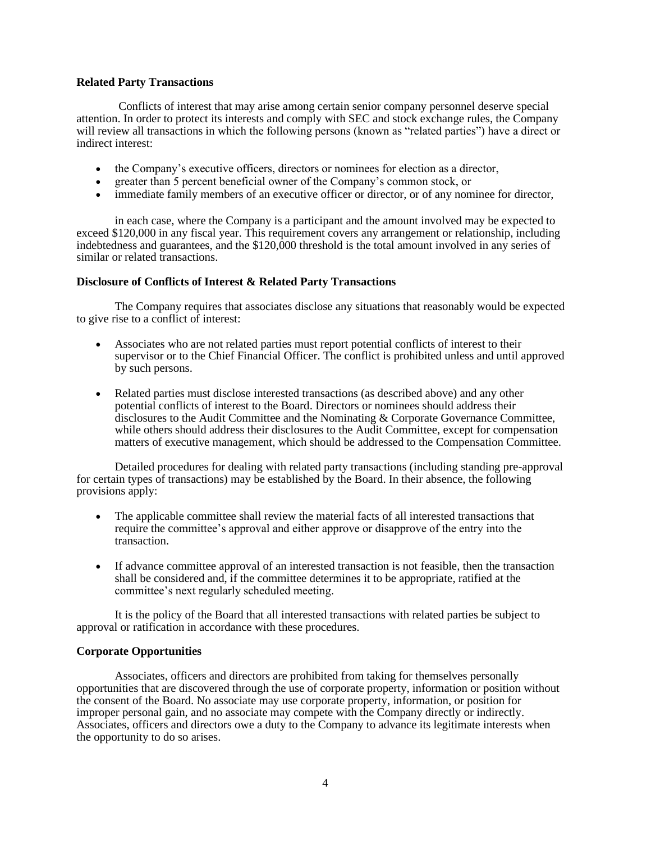# **Related Party Transactions**

Conflicts of interest that may arise among certain senior company personnel deserve special attention. In order to protect its interests and comply with SEC and stock exchange rules, the Company will review all transactions in which the following persons (known as "related parties") have a direct or indirect interest:

- the Company's executive officers, directors or nominees for election as a director,
- greater than 5 percent beneficial owner of the Company's common stock, or
- immediate family members of an executive officer or director, or of any nominee for director,

in each case, where the Company is a participant and the amount involved may be expected to exceed \$120,000 in any fiscal year. This requirement covers any arrangement or relationship, including indebtedness and guarantees, and the \$120,000 threshold is the total amount involved in any series of similar or related transactions.

## **Disclosure of Conflicts of Interest & Related Party Transactions**

The Company requires that associates disclose any situations that reasonably would be expected to give rise to a conflict of interest:

- Associates who are not related parties must report potential conflicts of interest to their supervisor or to the Chief Financial Officer. The conflict is prohibited unless and until approved by such persons.
- Related parties must disclose interested transactions (as described above) and any other potential conflicts of interest to the Board. Directors or nominees should address their disclosures to the Audit Committee and the Nominating & Corporate Governance Committee, while others should address their disclosures to the Audit Committee, except for compensation matters of executive management, which should be addressed to the Compensation Committee.

Detailed procedures for dealing with related party transactions (including standing pre-approval for certain types of transactions) may be established by the Board. In their absence, the following provisions apply:

- The applicable committee shall review the material facts of all interested transactions that require the committee's approval and either approve or disapprove of the entry into the transaction.
- If advance committee approval of an interested transaction is not feasible, then the transaction shall be considered and, if the committee determines it to be appropriate, ratified at the committee's next regularly scheduled meeting.

It is the policy of the Board that all interested transactions with related parties be subject to approval or ratification in accordance with these procedures.

# **Corporate Opportunities**

Associates, officers and directors are prohibited from taking for themselves personally opportunities that are discovered through the use of corporate property, information or position without the consent of the Board. No associate may use corporate property, information, or position for improper personal gain, and no associate may compete with the Company directly or indirectly. Associates, officers and directors owe a duty to the Company to advance its legitimate interests when the opportunity to do so arises.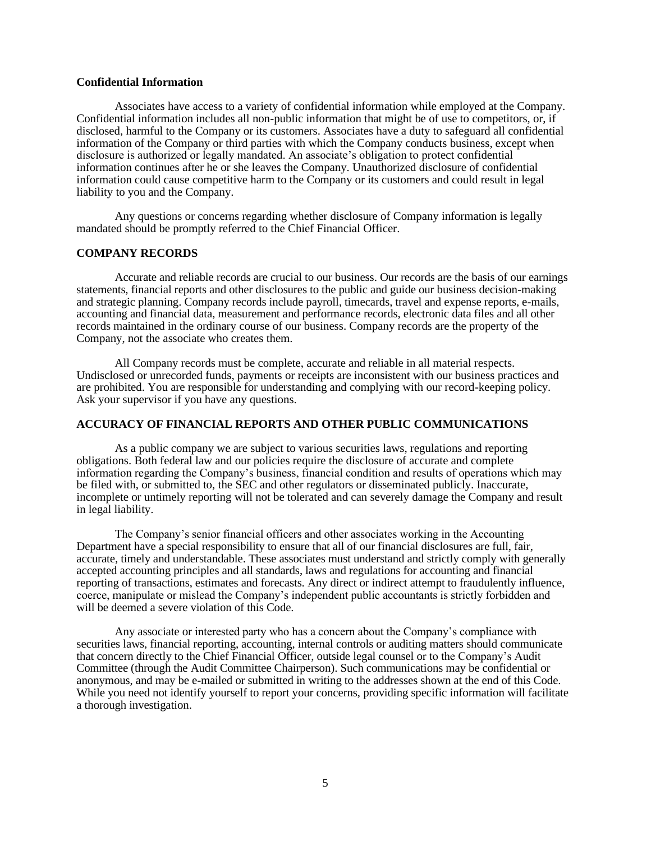## **Confidential Information**

Associates have access to a variety of confidential information while employed at the Company. Confidential information includes all non-public information that might be of use to competitors, or, if disclosed, harmful to the Company or its customers. Associates have a duty to safeguard all confidential information of the Company or third parties with which the Company conducts business, except when disclosure is authorized or legally mandated. An associate's obligation to protect confidential information continues after he or she leaves the Company. Unauthorized disclosure of confidential information could cause competitive harm to the Company or its customers and could result in legal liability to you and the Company.

Any questions or concerns regarding whether disclosure of Company information is legally mandated should be promptly referred to the Chief Financial Officer.

#### **COMPANY RECORDS**

Accurate and reliable records are crucial to our business. Our records are the basis of our earnings statements, financial reports and other disclosures to the public and guide our business decision-making and strategic planning. Company records include payroll, timecards, travel and expense reports, e-mails, accounting and financial data, measurement and performance records, electronic data files and all other records maintained in the ordinary course of our business. Company records are the property of the Company, not the associate who creates them.

All Company records must be complete, accurate and reliable in all material respects. Undisclosed or unrecorded funds, payments or receipts are inconsistent with our business practices and are prohibited. You are responsible for understanding and complying with our record-keeping policy. Ask your supervisor if you have any questions.

## **ACCURACY OF FINANCIAL REPORTS AND OTHER PUBLIC COMMUNICATIONS**

As a public company we are subject to various securities laws, regulations and reporting obligations. Both federal law and our policies require the disclosure of accurate and complete information regarding the Company's business, financial condition and results of operations which may be filed with, or submitted to, the SEC and other regulators or disseminated publicly. Inaccurate, incomplete or untimely reporting will not be tolerated and can severely damage the Company and result in legal liability.

The Company's senior financial officers and other associates working in the Accounting Department have a special responsibility to ensure that all of our financial disclosures are full, fair, accurate, timely and understandable. These associates must understand and strictly comply with generally accepted accounting principles and all standards, laws and regulations for accounting and financial reporting of transactions, estimates and forecasts. Any direct or indirect attempt to fraudulently influence, coerce, manipulate or mislead the Company's independent public accountants is strictly forbidden and will be deemed a severe violation of this Code.

Any associate or interested party who has a concern about the Company's compliance with securities laws, financial reporting, accounting, internal controls or auditing matters should communicate that concern directly to the Chief Financial Officer, outside legal counsel or to the Company's Audit Committee (through the Audit Committee Chairperson). Such communications may be confidential or anonymous, and may be e-mailed or submitted in writing to the addresses shown at the end of this Code. While you need not identify yourself to report your concerns, providing specific information will facilitate a thorough investigation.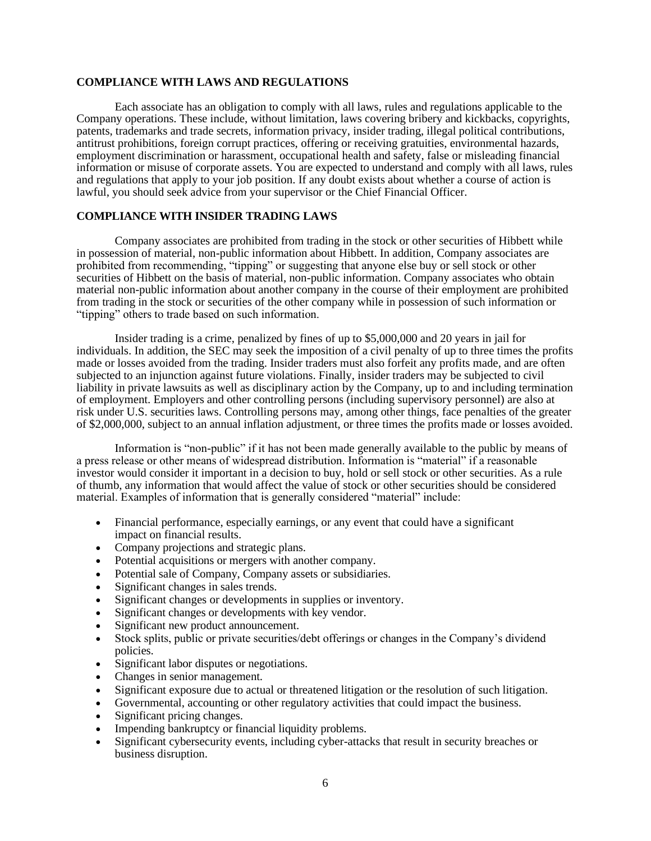# **COMPLIANCE WITH LAWS AND REGULATIONS**

Each associate has an obligation to comply with all laws, rules and regulations applicable to the Company operations. These include, without limitation, laws covering bribery and kickbacks, copyrights, patents, trademarks and trade secrets, information privacy, insider trading, illegal political contributions, antitrust prohibitions, foreign corrupt practices, offering or receiving gratuities, environmental hazards, employment discrimination or harassment, occupational health and safety, false or misleading financial information or misuse of corporate assets. You are expected to understand and comply with all laws, rules and regulations that apply to your job position. If any doubt exists about whether a course of action is lawful, you should seek advice from your supervisor or the Chief Financial Officer.

# **COMPLIANCE WITH INSIDER TRADING LAWS**

Company associates are prohibited from trading in the stock or other securities of Hibbett while in possession of material, non-public information about Hibbett. In addition, Company associates are prohibited from recommending, "tipping" or suggesting that anyone else buy or sell stock or other securities of Hibbett on the basis of material, non-public information. Company associates who obtain material non-public information about another company in the course of their employment are prohibited from trading in the stock or securities of the other company while in possession of such information or "tipping" others to trade based on such information.

Insider trading is a crime, penalized by fines of up to \$5,000,000 and 20 years in jail for individuals. In addition, the SEC may seek the imposition of a civil penalty of up to three times the profits made or losses avoided from the trading. Insider traders must also forfeit any profits made, and are often subjected to an injunction against future violations. Finally, insider traders may be subjected to civil liability in private lawsuits as well as disciplinary action by the Company, up to and including termination of employment. Employers and other controlling persons (including supervisory personnel) are also at risk under U.S. securities laws. Controlling persons may, among other things, face penalties of the greater of \$2,000,000, subject to an annual inflation adjustment, or three times the profits made or losses avoided.

Information is "non-public" if it has not been made generally available to the public by means of a press release or other means of widespread distribution. Information is "material" if a reasonable investor would consider it important in a decision to buy, hold or sell stock or other securities. As a rule of thumb, any information that would affect the value of stock or other securities should be considered material. Examples of information that is generally considered "material" include:

- Financial performance, especially earnings, or any event that could have a significant impact on financial results.
- Company projections and strategic plans.
- Potential acquisitions or mergers with another company.
- Potential sale of Company, Company assets or subsidiaries.
- Significant changes in sales trends.
- Significant changes or developments in supplies or inventory.
- Significant changes or developments with key vendor.
- Significant new product announcement.
- Stock splits, public or private securities/debt offerings or changes in the Company's dividend policies.
- Significant labor disputes or negotiations.
- Changes in senior management.
- Significant exposure due to actual or threatened litigation or the resolution of such litigation.
- Governmental, accounting or other regulatory activities that could impact the business.
- Significant pricing changes.
- Impending bankruptcy or financial liquidity problems.
- Significant cybersecurity events, including cyber-attacks that result in security breaches or business disruption.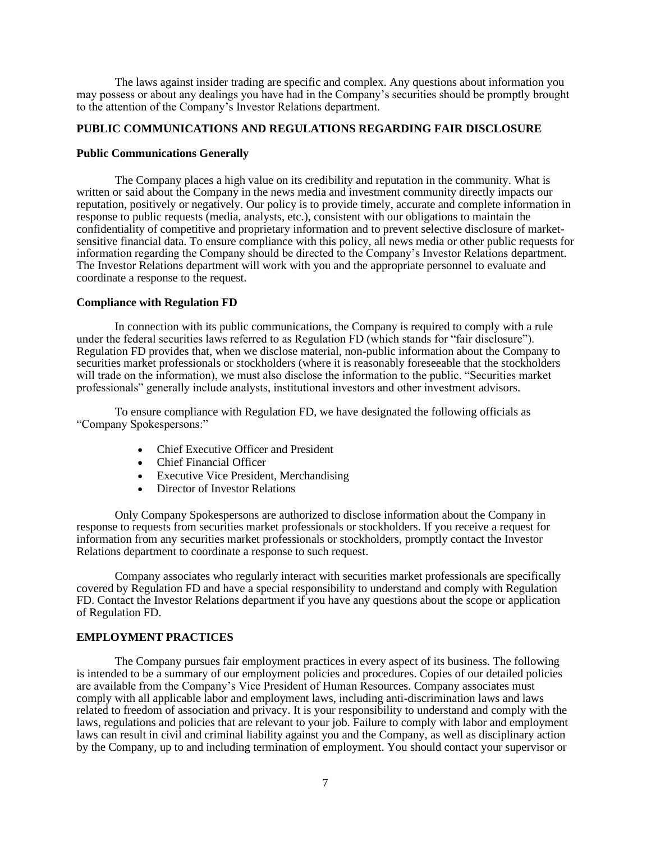The laws against insider trading are specific and complex. Any questions about information you may possess or about any dealings you have had in the Company's securities should be promptly brought to the attention of the Company's Investor Relations department.

# **PUBLIC COMMUNICATIONS AND REGULATIONS REGARDING FAIR DISCLOSURE**

### **Public Communications Generally**

The Company places a high value on its credibility and reputation in the community. What is written or said about the Company in the news media and investment community directly impacts our reputation, positively or negatively. Our policy is to provide timely, accurate and complete information in response to public requests (media, analysts, etc.), consistent with our obligations to maintain the confidentiality of competitive and proprietary information and to prevent selective disclosure of marketsensitive financial data. To ensure compliance with this policy, all news media or other public requests for information regarding the Company should be directed to the Company's Investor Relations department. The Investor Relations department will work with you and the appropriate personnel to evaluate and coordinate a response to the request.

### **Compliance with Regulation FD**

In connection with its public communications, the Company is required to comply with a rule under the federal securities laws referred to as Regulation FD (which stands for "fair disclosure"). Regulation FD provides that, when we disclose material, non-public information about the Company to securities market professionals or stockholders (where it is reasonably foreseeable that the stockholders will trade on the information), we must also disclose the information to the public. "Securities market professionals" generally include analysts, institutional investors and other investment advisors.

To ensure compliance with Regulation FD, we have designated the following officials as "Company Spokespersons:"

- Chief Executive Officer and President
- Chief Financial Officer
- Executive Vice President, Merchandising
- Director of Investor Relations

Only Company Spokespersons are authorized to disclose information about the Company in response to requests from securities market professionals or stockholders. If you receive a request for information from any securities market professionals or stockholders, promptly contact the Investor Relations department to coordinate a response to such request.

Company associates who regularly interact with securities market professionals are specifically covered by Regulation FD and have a special responsibility to understand and comply with Regulation FD. Contact the Investor Relations department if you have any questions about the scope or application of Regulation FD.

## **EMPLOYMENT PRACTICES**

The Company pursues fair employment practices in every aspect of its business. The following is intended to be a summary of our employment policies and procedures. Copies of our detailed policies are available from the Company's Vice President of Human Resources. Company associates must comply with all applicable labor and employment laws, including anti-discrimination laws and laws related to freedom of association and privacy. It is your responsibility to understand and comply with the laws, regulations and policies that are relevant to your job. Failure to comply with labor and employment laws can result in civil and criminal liability against you and the Company, as well as disciplinary action by the Company, up to and including termination of employment. You should contact your supervisor or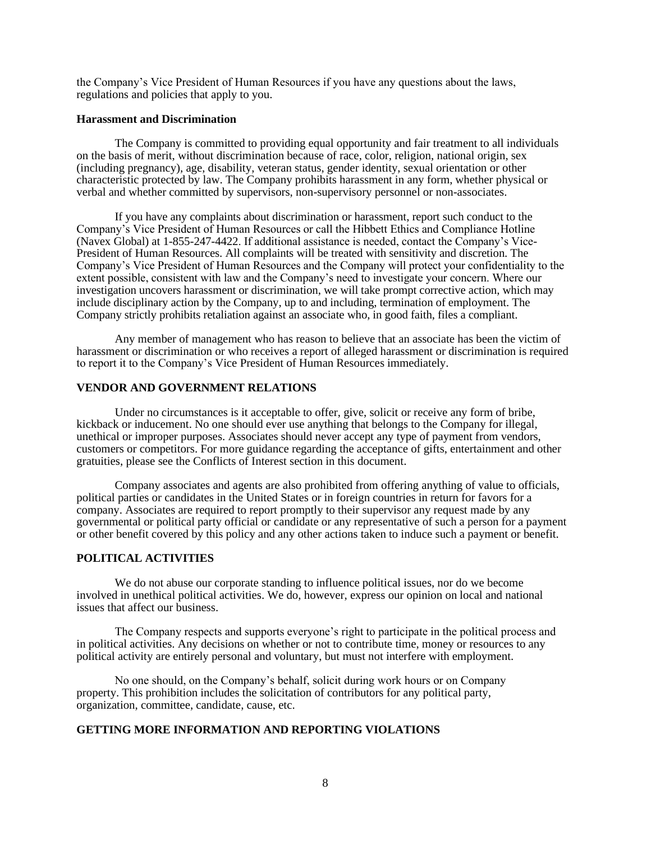the Company's Vice President of Human Resources if you have any questions about the laws, regulations and policies that apply to you.

#### **Harassment and Discrimination**

The Company is committed to providing equal opportunity and fair treatment to all individuals on the basis of merit, without discrimination because of race, color, religion, national origin, sex (including pregnancy), age, disability, veteran status, gender identity, sexual orientation or other characteristic protected by law. The Company prohibits harassment in any form, whether physical or verbal and whether committed by supervisors, non-supervisory personnel or non-associates.

If you have any complaints about discrimination or harassment, report such conduct to the Company's Vice President of Human Resources or call the Hibbett Ethics and Compliance Hotline (Navex Global) at 1-855-247-4422. If additional assistance is needed, contact the Company's Vice-President of Human Resources. All complaints will be treated with sensitivity and discretion. The Company's Vice President of Human Resources and the Company will protect your confidentiality to the extent possible, consistent with law and the Company's need to investigate your concern. Where our investigation uncovers harassment or discrimination, we will take prompt corrective action, which may include disciplinary action by the Company, up to and including, termination of employment. The Company strictly prohibits retaliation against an associate who, in good faith, files a compliant.

Any member of management who has reason to believe that an associate has been the victim of harassment or discrimination or who receives a report of alleged harassment or discrimination is required to report it to the Company's Vice President of Human Resources immediately.

# **VENDOR AND GOVERNMENT RELATIONS**

Under no circumstances is it acceptable to offer, give, solicit or receive any form of bribe, kickback or inducement. No one should ever use anything that belongs to the Company for illegal, unethical or improper purposes. Associates should never accept any type of payment from vendors, customers or competitors. For more guidance regarding the acceptance of gifts, entertainment and other gratuities, please see the Conflicts of Interest section in this document.

Company associates and agents are also prohibited from offering anything of value to officials, political parties or candidates in the United States or in foreign countries in return for favors for a company. Associates are required to report promptly to their supervisor any request made by any governmental or political party official or candidate or any representative of such a person for a payment or other benefit covered by this policy and any other actions taken to induce such a payment or benefit.

#### **POLITICAL ACTIVITIES**

We do not abuse our corporate standing to influence political issues, nor do we become involved in unethical political activities. We do, however, express our opinion on local and national issues that affect our business.

The Company respects and supports everyone's right to participate in the political process and in political activities. Any decisions on whether or not to contribute time, money or resources to any political activity are entirely personal and voluntary, but must not interfere with employment.

No one should, on the Company's behalf, solicit during work hours or on Company property. This prohibition includes the solicitation of contributors for any political party, organization, committee, candidate, cause, etc.

# **GETTING MORE INFORMATION AND REPORTING VIOLATIONS**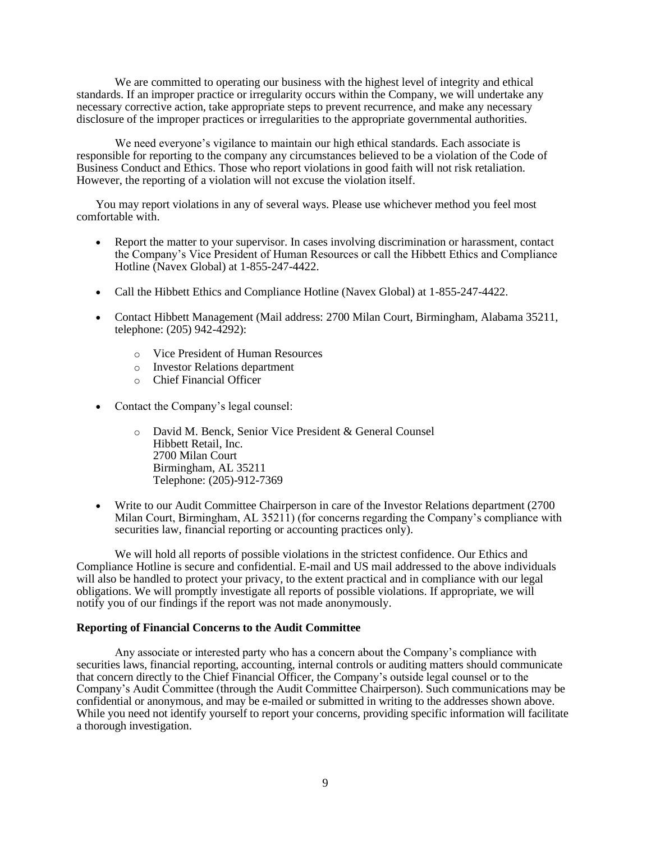We are committed to operating our business with the highest level of integrity and ethical standards. If an improper practice or irregularity occurs within the Company, we will undertake any necessary corrective action, take appropriate steps to prevent recurrence, and make any necessary disclosure of the improper practices or irregularities to the appropriate governmental authorities.

We need everyone's vigilance to maintain our high ethical standards. Each associate is responsible for reporting to the company any circumstances believed to be a violation of the Code of Business Conduct and Ethics. Those who report violations in good faith will not risk retaliation. However, the reporting of a violation will not excuse the violation itself.

You may report violations in any of several ways. Please use whichever method you feel most comfortable with.

- Report the matter to your supervisor. In cases involving discrimination or harassment, contact the Company's Vice President of Human Resources or call the Hibbett Ethics and Compliance Hotline (Navex Global) at 1-855-247-4422.
- Call the Hibbett Ethics and Compliance Hotline (Navex Global) at 1-855-247-4422.
- Contact Hibbett Management (Mail address: 2700 Milan Court, Birmingham, Alabama 35211, telephone: (205) 942-4292):
	- o Vice President of Human Resources
	- o Investor Relations department
	- o Chief Financial Officer
- Contact the Company's legal counsel:
	- o David M. Benck, Senior Vice President & General Counsel Hibbett Retail, Inc. 2700 Milan Court Birmingham, AL 35211 Telephone: (205)-912-7369
- Write to our Audit Committee Chairperson in care of the Investor Relations department (2700) Milan Court, Birmingham, AL 35211) (for concerns regarding the Company's compliance with securities law, financial reporting or accounting practices only).

We will hold all reports of possible violations in the strictest confidence. Our Ethics and Compliance Hotline is secure and confidential. E-mail and US mail addressed to the above individuals will also be handled to protect your privacy, to the extent practical and in compliance with our legal obligations. We will promptly investigate all reports of possible violations. If appropriate, we will notify you of our findings if the report was not made anonymously.

### **Reporting of Financial Concerns to the Audit Committee**

Any associate or interested party who has a concern about the Company's compliance with securities laws, financial reporting, accounting, internal controls or auditing matters should communicate that concern directly to the Chief Financial Officer, the Company's outside legal counsel or to the Company's Audit Committee (through the Audit Committee Chairperson). Such communications may be confidential or anonymous, and may be e-mailed or submitted in writing to the addresses shown above. While you need not identify yourself to report your concerns, providing specific information will facilitate a thorough investigation.